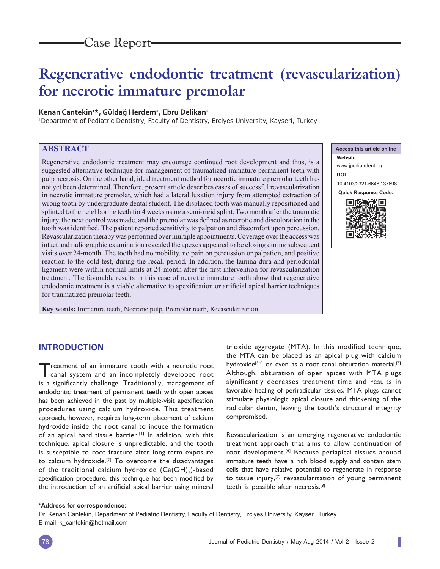# **Regenerative endodontic treatment (revascularization) for necrotic immature premolar**

## **Kenan Cantekin1 \*, Güldağ Herdem1 , Ebru Delikan1**

<sup>1</sup>Department of Pediatric Dentistry, Faculty of Dentistry, Erciyes University, Kayseri, Turkey

# **ABSTRACT**

Regenerative endodontic treatment may encourage continued root development and thus, is a suggested alternative technique for management of traumatized immature permanent teeth with pulp necrosis. On the other hand, ideal treatment method for necrotic immature premolar teeth has not yet been determined. Therefore, present article describes cases of successful revascularization in necrotic immature premolar, which had a lateral luxation injury from attempted extraction of wrong tooth by undergraduate dental student. The displaced tooth was manually repositioned and splinted to the neighboring teeth for 4 weeks using a semi-rigid splint. Two month after the traumatic injury, the next control was made, and the premolar was defined as necrotic and discoloration in the tooth was identified. The patient reported sensitivity to palpation and discomfort upon percussion. Revascularization therapy was performed over multiple appointments. Coverage over the access was intact and radiographic examination revealed the apexes appeared to be closing during subsequent visits over 24-month. The tooth had no mobility, no pain on percussion or palpation, and positive reaction to the cold test, during the recall period. In addition, the lamina dura and periodontal ligament were within normal limits at 24-month after the first intervention for revascularization treatment. The favorable results in this case of necrotic immature tooth show that regenerative endodontic treatment is a viable alternative to apexification or artificial apical barrier techniques for traumatized premolar teeth.

**Key words:** Immature teeth, Necrotic pulp, Premolar teeth, Revascularization



# **INTRODUCTION**

Treatment of an immature tooth with a necrotic root canal system and an incompletely developed root is a significantly challenge. Traditionally, management of endodontic treatment of permanent teeth with open apices has been achieved in the past by multiple-visit apexification procedures using calcium hydroxide. This treatment approach, however, requires long-term placement of calcium hydroxide inside the root canal to induce the formation of an apical hard tissue barrier.<sup>[1]</sup> In addition, with this technique, apical closure is unpredictable, and the tooth is susceptible to root fracture after long-term exposure to calcium hydroxide.<sup>[2]</sup> To overcome the disadvantages of the traditional calcium hydroxide  $\left(\mathsf{Ca(OH)}_{2}\right)$ -based apexification procedure, this technique has been modified by the introduction of an artificial apical barrier using mineral

trioxide aggregate (MTA). In this modified technique, the MTA can be placed as an apical plug with calcium hydroxide<sup>[3,4]</sup> or even as a root canal obturation material.<sup>[5]</sup> Although, obturation of open apices with MTA plugs significantly decreases treatment time and results in favorable healing of periradicular tissues, MTA plugs cannot stimulate physiologic apical closure and thickening of the radicular dentin, leaving the tooth's structural integrity compromised.

Revascularization is an emerging regenerative endodontic treatment approach that aims to allow continuation of root development.[6] Because periapical tissues around immature teeth have a rich blood supply and contain stem cells that have relative potential to regenerate in response to tissue injury, $[7]$  revascularization of young permanent teeth is possible after necrosis.[8]

#### **\*Address for correspondence:**

Dr. Kenan Cantekin, Department of Pediatric Dentistry, Faculty of Dentistry, Erciyes University, Kayseri, Turkey. E-mail: k\_cantekin@hotmail.com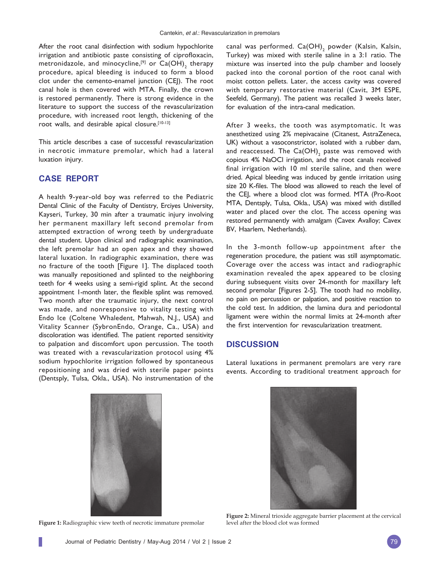After the root canal disinfection with sodium hypochlorite irrigation and antibiotic paste consisting of ciprofloxacin, metronidazole, and minocycline, $^{[9]}$  or  $\mathsf{Ca(OH)}_{2}$  therapy procedure, apical bleeding is induced to form a blood clot under the cemento-enamel junction (CEJ). The root canal hole is then covered with MTA. Finally, the crown is restored permanently. There is strong evidence in the literature to support the success of the revascularization procedure, with increased root length, thickening of the root walls, and desirable apical closure.[10-13]

This article describes a case of successful revascularization in necrotic immature premolar, which had a lateral luxation injury.

## **CASE REPORT**

A health 9-year-old boy was referred to the Pediatric Dental Clinic of the Faculty of Dentistry, Erciyes University, Kayseri, Turkey, 30 min after a traumatic injury involving her permanent maxillary left second premolar from attempted extraction of wrong teeth by undergraduate dental student. Upon clinical and radiographic examination, the left premolar had an open apex and they showed lateral luxation. In radiographic examination, there was no fracture of the tooth [Figure 1]. The displaced tooth was manually repositioned and splinted to the neighboring teeth for 4 weeks using a semi-rigid splint. At the second appointment 1-month later, the flexible splint was removed. Two month after the traumatic injury, the next control was made, and nonresponsive to vitality testing with Endo Ice (Coltene Whaledent, Mahwah, N.J., USA) and Vitality Scanner (SybronEndo, Orange, Ca., USA) and discoloration was identified. The patient reported sensitivity to palpation and discomfort upon percussion. The tooth was treated with a revascularization protocol using 4% sodium hypochlorite irrigation followed by spontaneous repositioning and was dried with sterile paper points (Dentsply, Tulsa, Okla., USA). No instrumentation of the

canal was performed.  $\mathsf{Ca(OH)}_{2}$  powder (Kalsin, Kalsin, Turkey) was mixed with sterile saline in a 3:1 ratio. The mixture was inserted into the pulp chamber and loosely packed into the coronal portion of the root canal with moist cotton pellets. Later, the access cavity was covered with temporary restorative material (Cavit, 3M ESPE, Seefeld, Germany). The patient was recalled 3 weeks later, for evaluation of the intra-canal medication.

After 3 weeks, the tooth was asymptomatic. It was anesthetized using 2% mepivacaine (Citanest, AstraZeneca, UK) without a vasoconstrictor, isolated with a rubber dam, and reaccessed. The Ca(OH) $_{\rm 2}$  paste was removed with copious 4% NaOCl irrigation, and the root canals received final irrigation with 10 ml sterile saline, and then were dried. Apical bleeding was induced by gentle irritation using size 20 K-files. The blood was allowed to reach the level of the CEJ, where a blood clot was formed. MTA (Pro-Root MTA, Dentsply, Tulsa, Okla., USA) was mixed with distilled water and placed over the clot. The access opening was restored permanently with amalgam (Cavex Avalloy; Cavex BV, Haarlem, Netherlands).

In the 3-month follow-up appointment after the regeneration procedure, the patient was still asymptomatic. Coverage over the access was intact and radiographic examination revealed the apex appeared to be closing during subsequent visits over 24-month for maxillary left second premolar [Figures 2-5]. The tooth had no mobility, no pain on percussion or palpation, and positive reaction to the cold test. In addition, the lamina dura and periodontal ligament were within the normal limits at 24-month after the first intervention for revascularization treatment.

### **DISCUSSION**

Lateral luxations in permanent premolars are very rare events. According to traditional treatment approach for





**Figure 1:** Radiographic view teeth of necrotic immature premolar

**Figure 2:** Mineral trioxide aggregate barrier placement at the cervical level after the blood clot was formed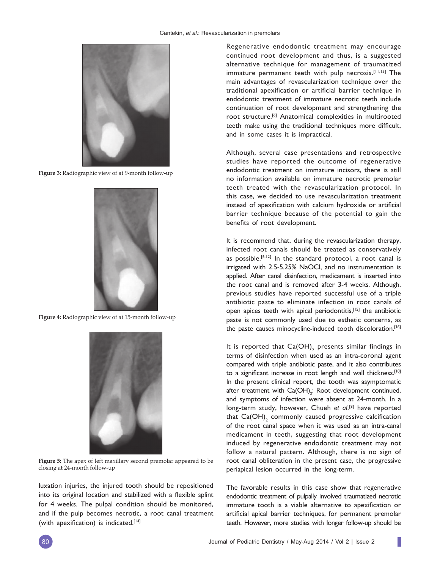

**Figure 3:** Radiographic view of at 9-month follow-up



**Figure 4:** Radiographic view of at 15-month follow-up



**Figure 5:** The apex of left maxillary second premolar appeared to be closing at 24-month follow-up

luxation injuries, the injured tooth should be repositioned into its original location and stabilized with a flexible splint for 4 weeks. The pulpal condition should be monitored, and if the pulp becomes necrotic, a root canal treatment (with apexification) is indicated. $[14]$ 

Regenerative endodontic treatment may encourage continued root development and thus, is a suggested alternative technique for management of traumatized immature permanent teeth with pulp necrosis.[11,15] The main advantages of revascularization technique over the traditional apexification or artificial barrier technique in endodontic treatment of immature necrotic teeth include continuation of root development and strengthening the root structure.[6] Anatomical complexities in multirooted teeth make using the traditional techniques more difficult, and in some cases it is impractical.

Although, several case presentations and retrospective studies have reported the outcome of regenerative endodontic treatment on immature incisors, there is still no information available on immature necrotic premolar teeth treated with the revascularization protocol. In this case, we decided to use revascularization treatment instead of apexification with calcium hydroxide or artificial barrier technique because of the potential to gain the benefits of root development.

It is recommend that, during the revascularization therapy, infected root canals should be treated as conservatively as possible.<sup>[6,12]</sup> In the standard protocol, a root canal is irrigated with 2.5-5.25% NaOCl, and no instrumentation is applied. After canal disinfection, medicament is inserted into the root canal and is removed after 3-4 weeks. Although, previous studies have reported successful use of a triple antibiotic paste to eliminate infection in root canals of open apices teeth with apical periodontitis,[15] the antibiotic paste is not commonly used due to esthetic concerns, as the paste causes minocycline-induced tooth discoloration.<sup>[16]</sup>

It is reported that  $\mathsf{Ca(OH)}_{2}$  presents similar findings in terms of disinfection when used as an intra-coronal agent compared with triple antibiotic paste, and it also contributes to a significant increase in root length and wall thickness.<sup>[10]</sup> In the present clinical report, the tooth was asymptomatic after treatment with  $\text{Ca(OH)}_{2}$ : Root development continued, and symptoms of infection were absent at 24-month. In a long-term study, however, Chueh *et al*. [8] have reported that  $\textsf{Ca}(\textsf{OH})_{\scriptscriptstyle{2}}$  commonly caused progressive calcification of the root canal space when it was used as an intra-canal medicament in teeth, suggesting that root development induced by regenerative endodontic treatment may not follow a natural pattern. Although, there is no sign of root canal obliteration in the present case, the progressive periapical lesion occurred in the long-term.

The favorable results in this case show that regenerative endodontic treatment of pulpally involved traumatized necrotic immature tooth is a viable alternative to apexification or artificial apical barrier techniques, for permanent premolar teeth. However, more studies with longer follow-up should be